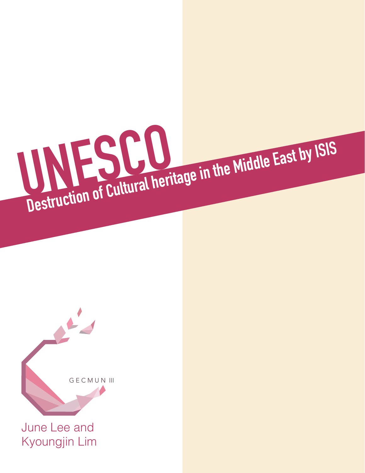



June Lee and Kyoungjin Lim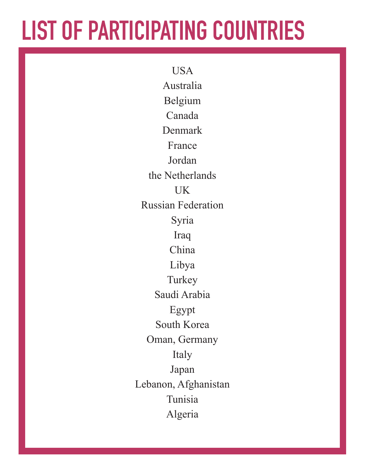# **LIST OF PARTICIPATING COUNTRIES**

**USA** Australia Belgium Canada Denmark France Jordan the Netherlands UK Russian Federation Syria Iraq China Libya **Turkey** Saudi Arabia Egypt South Korea Oman, Germany Italy Japan Lebanon, Afghanistan Tunisia Algeria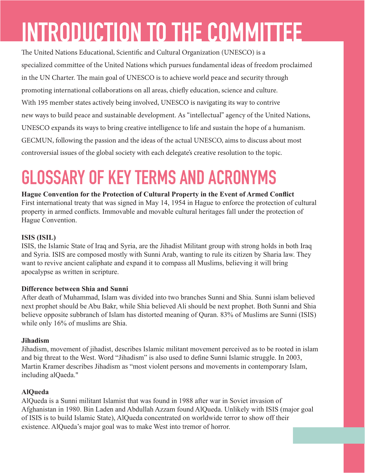# **INTRODUCTION TO THE COMMITTEE**

The United Nations Educational, Scientific and Cultural Organization (UNESCO) is a specialized committee of the United Nations which pursues fundamental ideas of freedom proclaimed in the UN Charter. The main goal of UNESCO is to achieve world peace and security through promoting international collaborations on all areas, chiefly education, science and culture. With 195 member states actively being involved, UNESCO is navigating its way to contrive new ways to build peace and sustainable development. As "intellectual" agency of the United Nations, UNESCO expands its ways to bring creative intelligence to life and sustain the hope of a humanism. GECMUN, following the passion and the ideas of the actual UNESCO, aims to discuss about most controversial issues of the global society with each delegate's creative resolution to the topic.

# **GLOSSARY OF KEY TERMS AND ACRONYMS**

**Hague Convention for the Protection of Cultural Property in the Event of Armed Conflict** First international treaty that was signed in May 14, 1954 in Hague to enforce the protection of cultural property in armed conflicts. Immovable and movable cultural heritages fall under the protection of Hague Convention.

## **ISIS (ISIL)**

ISIS, the Islamic State of Iraq and Syria, are the Jihadist Militant group with strong holds in both Iraq and Syria. ISIS are composed mostly with Sunni Arab, wanting to rule its citizen by Sharia law. They want to revive ancient caliphate and expand it to compass all Muslims, believing it will bring apocalypse as written in scripture.

### **Difference between Shia and Sunni**

After death of Muhammad, Islam was divided into two branches Sunni and Shia. Sunni islam believed next prophet should be Abu Bakr, while Shia believed Ali should be next prophet. Both Sunni and Shia believe opposite subbranch of Islam has distorted meaning of Quran. 83% of Muslims are Sunni (ISIS) while only 16% of muslims are Shia.

## **Jihadism**

Jihadism, movement of jihadist, describes Islamic militant movement perceived as to be rooted in islam and big threat to the West. Word "Jihadism" is also used to define Sunni Islamic struggle. In 2003, Martin Kramer describes Jihadism as "most violent persons and movements in contemporary Islam, including alQaeda."

## **AlQueda**

AlQueda is a Sunni militant Islamist that was found in 1988 after war in Soviet invasion of Afghanistan in 1980. Bin Laden and Abdullah Azzam found AlQueda. Unlikely with ISIS (major goal of ISIS is to build Islamic State), AlQueda concentrated on worldwide terror to show off their existence. AlQueda's major goal was to make West into tremor of horror.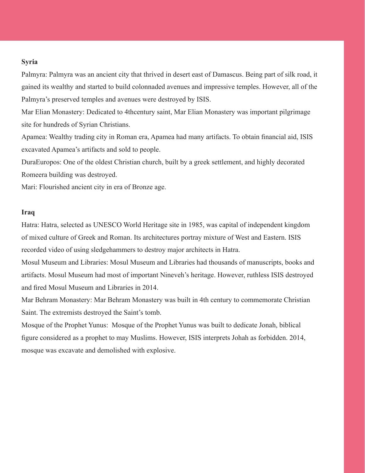#### **Syria**

Palmyra: Palmyra was an ancient city that thrived in desert east of Damascus. Being part of silk road, it gained its wealthy and started to build colonnaded avenues and impressive temples. However, all of the Palmyra's preserved temples and avenues were destroyed by ISIS.

Mar Elian Monastery: Dedicated to 4thcentury saint, Mar Elian Monastery was important pilgrimage site for hundreds of Syrian Christians.

Apamea: Wealthy trading city in Roman era, Apamea had many artifacts. To obtain financial aid, ISIS excavated Apamea's artifacts and sold to people.

DuraEuropos: One of the oldest Christian church, built by a greek settlement, and highly decorated Romeera building was destroyed.

Mari: Flourished ancient city in era of Bronze age.

#### **Iraq**

Hatra: Hatra, selected as UNESCO World Heritage site in 1985, was capital of independent kingdom of mixed culture of Greek and Roman. Its architectures portray mixture of West and Eastern. ISIS recorded video of using sledgehammers to destroy major architects in Hatra.

Mosul Museum and Libraries: Mosul Museum and Libraries had thousands of manuscripts, books and artifacts. Mosul Museum had most of important Nineveh's heritage. However, ruthless ISIS destroyed and fired Mosul Museum and Libraries in 2014.

Mar Behram Monastery: Mar Behram Monastery was built in 4th century to commemorate Christian Saint. The extremists destroyed the Saint's tomb.

Mosque of the Prophet Yunus: Mosque of the Prophet Yunus was built to dedicate Jonah, biblical figure considered as a prophet to may Muslims. However, ISIS interprets Johah as forbidden. 2014, mosque was excavate and demolished with explosive.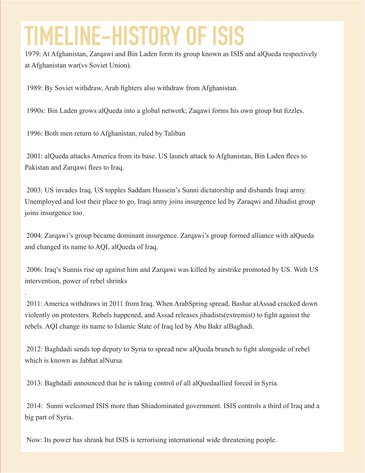# **TIMELINE-HISTORY OF ISIS**

1979: At Afghanistan, Zarqawi and Bin Laden form its group known as ISIS and alQueda respectively at Afghanistan war(vs Soviet Union).

1989: By Soviet withdraw, Arab fighters also withdraw from Afghanistan.

1990s: Bin Laden grows alQueda into a global network; Zaqawi forms his own group but fizzles.

1996: Both men return to Afghanistan, ruled by Taliban

.

2001: alQueda attacks America from its base. US launch attack to Afghanistan, Bin Laden flees to Pakistan and Zarqawi flees to Iraq.

2003: US invades Iraq. US topples Saddam Hussein's Sunni dictatorship and disbands Iraqi army. Unemployed and lost their place to go, Iraqi army joins insurgence led by Zaraqwi and Jihadist group joins insurgence too.

2004: Zarqawi's group became dominant insurgence. Zarqawi's group formed alliance with alQueda and changed its name to AQI, alQueda of Iraq.

2006: Iraq's Sunnis rise up against him and Zarqawi was killed by airstrike promoted by US. With US intervention, power of rebel shrinks

2011: America withdraws in 2011 from Iraq. When ArabSpring spread, Bashar alAssad cracked down violently on protesters. Rebels happened, and Assad releases jihadists(extremist) to fight against the rebels. AQI change its name to Islamic State of Iraq led by Abu Bakr alBaghadi.

2012: Baghdadi sends top deputy to Syria to spread new alQueda branch to fight alongside of rebel which is known as Jabhat alNursa.

2013: Baghdadi announced that he is taking control of all alQuedaallied forced in Syria.

2014: Sunni welcomed ISIS more than Shiadominated government. ISIS controls a third of Iraq and a big part of Syria.

Now: Its power has shrank but ISIS is terrorising international wide threatening people.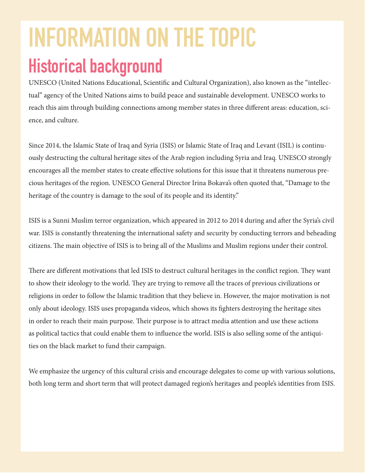# **INFORMATION ON THE TOPIC Historical background**

UNESCO (United Nations Educational, Scientific and Cultural Organization), also known as the "intellectual" agency of the United Nations aims to build peace and sustainable development. UNESCO works to reach this aim through building connections among member states in three different areas: education, science, and culture.

Since 2014, the Islamic State of Iraq and Syria (ISIS) or Islamic State of Iraq and Levant (ISIL) is continuously destructing the cultural heritage sites of the Arab region including Syria and Iraq. UNESCO strongly encourages all the member states to create effective solutions for this issue that it threatens numerous precious heritages of the region. UNESCO General Director Irina Bokava's often quoted that, "Damage to the heritage of the country is damage to the soul of its people and its identity."

ISIS is a Sunni Muslim terror organization, which appeared in 2012 to 2014 during and after the Syria's civil war. ISIS is constantly threatening the international safety and security by conducting terrors and beheading citizens. The main objective of ISIS is to bring all of the Muslims and Muslim regions under their control.

There are different motivations that led ISIS to destruct cultural heritages in the conflict region. They want to show their ideology to the world. They are trying to remove all the traces of previous civilizations or religions in order to follow the Islamic tradition that they believe in. However, the major motivation is not only about ideology. ISIS uses propaganda videos, which shows its fighters destroying the heritage sites in order to reach their main purpose. Their purpose is to attract media attention and use these actions as political tactics that could enable them to influence the world. ISIS is also selling some of the antiquities on the black market to fund their campaign.

We emphasize the urgency of this cultural crisis and encourage delegates to come up with various solutions, both long term and short term that will protect damaged region's heritages and people's identities from ISIS.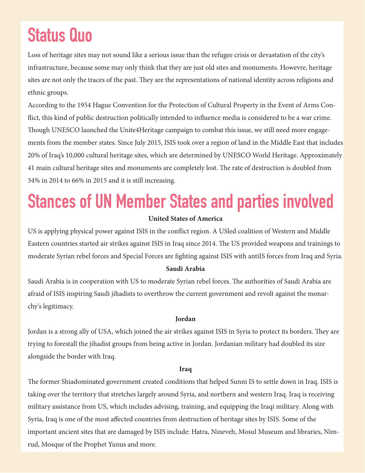## **Status Quo**

Loss of heritage sites may not sound like a serious issue than the refugee crisis or devastation of the city's infrastructure, because some may only think that they are just old sites and monuments. Howevre, heritage sites are not only the traces of the past. They are the representations of national identity across religions and ethnic groups.

According to the 1954 Hague Convention for the Protection of Cultural Property in the Event of Arms Conflict, this kind of public destruction politically intended to influence media is considered to be a war crime. Though UNESCO launched the Unite4Heritage campaign to combat this issue, we still need more engagements from the member states. Since July 2015, ISIS took over a region of land in the Middle East that includes 20% of Iraq's 10,000 cultural heritage sites, which are determined by UNESCO World Heritage. Approximately 41 main cultural heritage sites and monuments are completely lost. The rate of destruction is doubled from 34% in 2014 to 66% in 2015 and it is still increasing.

# **Stances of UN Member States and parties involved**

### **United States of America**

US is applying physical power against ISIS in the conflict region. A USled coalition of Western and Middle Eastern countries started air strikes against ISIS in Iraq since 2014. The US provided weapons and trainings to moderate Syrian rebel forces and Special Forces are fighting against ISIS with antiIS forces from Iraq and Syria.

### **Saudi Arabia**

Saudi Arabia is in cooperation with US to moderate Syrian rebel forces. The authorities of Saudi Arabia are afraid of ISIS inspiring Saudi jihadists to overthrow the current government and revolt against the monarchy's legitimacy.

### **Jordan**

Jordan is a strong ally of USA, which joined the air strikes against ISIS in Syria to protect its borders. They are trying to forestall the jihadist groups from being active in Jordan. Jordanian military had doubled its size alongside the border with Iraq.

#### **Iraq**

The former Shiadominated government created conditions that helped Sunni IS to settle down in Iraq. ISIS is taking over the territory that stretches largely around Syria, and northern and western Iraq. Iraq is receiving military assistance from US, which includes advising, training, and equipping the Iraqi military. Along with Syria, Iraq is one of the most affected countries from destruction of heritage sites by ISIS. Some of the important ancient sites that are damaged by ISIS include: Hatra, Nineveh, Mosul Museum and libraries, Nimrud, Mosque of the Prophet Yunus and more.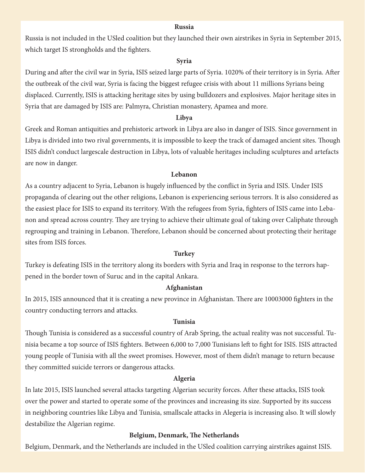#### **Russia**

Russia is not included in the USled coalition but they launched their own airstrikes in Syria in September 2015, which target IS strongholds and the fighters.

#### **Syria**

During and after the civil war in Syria, ISIS seized large parts of Syria. 1020% of their territory is in Syria. After the outbreak of the civil war, Syria is facing the biggest refugee crisis with about 11 millions Syrians being displaced. Currently, ISIS is attacking heritage sites by using bulldozers and explosives. Major heritage sites in Syria that are damaged by ISIS are: Palmyra, Christian monastery, Apamea and more.

#### **Libya**

Greek and Roman antiquities and prehistoric artwork in Libya are also in danger of ISIS. Since government in Libya is divided into two rival governments, it is impossible to keep the track of damaged ancient sites. Though ISIS didn't conduct largescale destruction in Libya, lots of valuable heritages including sculptures and artefacts are now in danger.

#### **Lebanon**

As a country adjacent to Syria, Lebanon is hugely influenced by the conflict in Syria and ISIS. Under ISIS propaganda of clearing out the other religions, Lebanon is experiencing serious terrors. It is also considered as the easiest place for ISIS to expand its territory. With the refugees from Syria, fighters of ISIS came into Lebanon and spread across country. They are trying to achieve their ultimate goal of taking over Caliphate through regrouping and training in Lebanon. Therefore, Lebanon should be concerned about protecting their heritage sites from ISIS forces.

#### **Turkey**

Turkey is defeating ISIS in the territory along its borders with Syria and Iraq in response to the terrors happened in the border town of Suruc and in the capital Ankara.

#### **Afghanistan**

In 2015, ISIS announced that it is creating a new province in Afghanistan. There are 10003000 fighters in the country conducting terrors and attacks.

#### **Tunisia**

Though Tunisia is considered as a successful country of Arab Spring, the actual reality was not successful. Tunisia became a top source of ISIS fighters. Between 6,000 to 7,000 Tunisians left to fight for ISIS. ISIS attracted young people of Tunisia with all the sweet promises. However, most of them didn't manage to return because they committed suicide terrors or dangerous attacks.

#### **Algeria**

In late 2015, ISIS launched several attacks targeting Algerian security forces. After these attacks, ISIS took over the power and started to operate some of the provinces and increasing its size. Supported by its success in neighboring countries like Libya and Tunisia, smallscale attacks in Alegeria is increasing also. It will slowly destabilize the Algerian regime.

#### **Belgium, Denmark, The Netherlands**

Belgium, Denmark, and the Netherlands are included in the USled coalition carrying airstrikes against ISIS.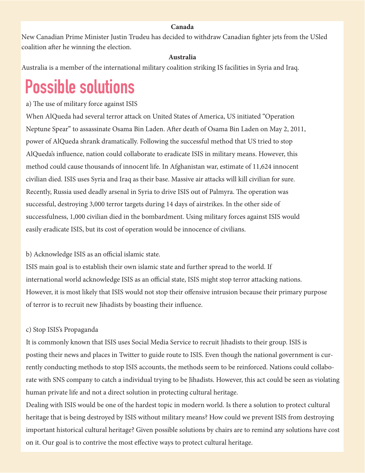#### **Canada**

New Canadian Prime Minister Justin Trudeu has decided to withdraw Canadian fighter jets from the USled coalition after he winning the election.

#### **Australia**

Australia is a member of the international military coalition striking IS facilities in Syria and Iraq.

## **Possible solutions**

a) The use of military force against ISIS

When AlQueda had several terror attack on United States of America, US initiated "Operation Neptune Spear" to assassinate Osama Bin Laden. After death of Osama Bin Laden on May 2, 2011, power of AlQueda shrank dramatically. Following the successful method that US tried to stop AlQueda's influence, nation could collaborate to eradicate ISIS in military means. However, this method could cause thousands of innocent life. In Afghanistan war, estimate of 11,624 innocent civilian died. ISIS uses Syria and Iraq as their base. Massive air attacks will kill civilian for sure. Recently, Russia used deadly arsenal in Syria to drive ISIS out of Palmyra. The operation was successful, destroying 3,000 terror targets during 14 days of airstrikes. In the other side of successfulness, 1,000 civilian died in the bombardment. Using military forces against ISIS would easily eradicate ISIS, but its cost of operation would be innocence of civilians.

#### b) Acknowledge ISIS as an official islamic state.

ISIS main goal is to establish their own islamic state and further spread to the world. If international world acknowledge ISIS as an official state, ISIS might stop terror attacking nations. However, it is most likely that ISIS would not stop their offensive intrusion because their primary purpose of terror is to recruit new Jihadists by boasting their influence.

### c) Stop ISIS's Propaganda

It is commonly known that ISIS uses Social Media Service to recruit Jihadists to their group. ISIS is posting their news and places in Twitter to guide route to ISIS. Even though the national government is currently conducting methods to stop ISIS accounts, the methods seem to be reinforced. Nations could collaborate with SNS company to catch a individual trying to be Jihadists. However, this act could be seen as violating human private life and not a direct solution in protecting cultural heritage.

Dealing with ISIS would be one of the hardest topic in modern world. Is there a solution to protect cultural heritage that is being destroyed by ISIS without military means? How could we prevent ISIS from destroying important historical cultural heritage? Given possible solutions by chairs are to remind any solutions have cost on it. Our goal is to contrive the most effective ways to protect cultural heritage.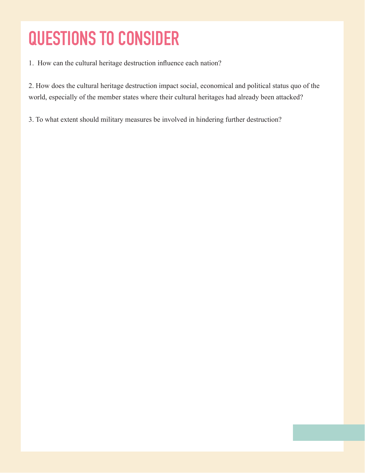# **QUESTIONS TO CONSIDER**

1. How can the cultural heritage destruction influence each nation?

2. How does the cultural heritage destruction impact social, economical and political status quo of the world, especially of the member states where their cultural heritages had already been attacked?

3. To what extent should military measures be involved in hindering further destruction?